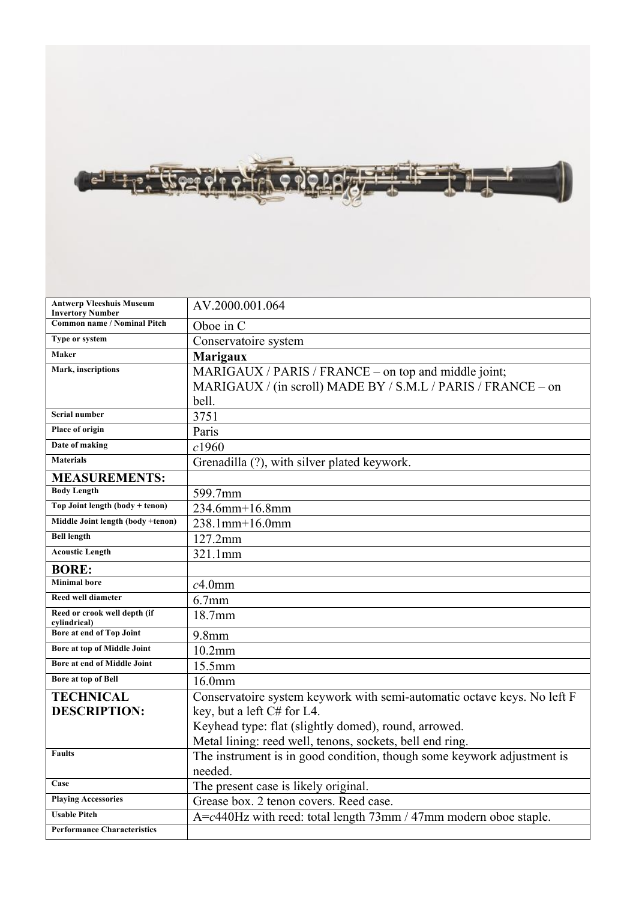

| <b>Antwerp Vleeshuis Museum</b><br><b>Invertory Number</b> | AV.2000.001.064                                                          |
|------------------------------------------------------------|--------------------------------------------------------------------------|
| <b>Common name / Nominal Pitch</b>                         | Oboe in C                                                                |
| Type or system                                             | Conservatoire system                                                     |
| Maker                                                      | <b>Marigaux</b>                                                          |
| Mark, inscriptions                                         | MARIGAUX / PARIS / FRANCE – on top and middle joint;                     |
|                                                            | MARIGAUX / (in scroll) MADE BY / S.M.L / PARIS / FRANCE – on             |
|                                                            | bell.                                                                    |
| <b>Serial number</b>                                       | 3751                                                                     |
| Place of origin                                            | Paris                                                                    |
| Date of making                                             | c1960                                                                    |
| <b>Materials</b>                                           | Grenadilla (?), with silver plated keywork.                              |
| <b>MEASUREMENTS:</b>                                       |                                                                          |
| <b>Body Length</b>                                         | 599.7mm                                                                  |
| Top Joint length (body + tenon)                            | 234.6mm+16.8mm                                                           |
| Middle Joint length (body +tenon)                          | 238.1mm+16.0mm                                                           |
| <b>Bell length</b>                                         | $127.2$ mm                                                               |
| <b>Acoustic Length</b>                                     | 321.1mm                                                                  |
| <b>BORE:</b>                                               |                                                                          |
| <b>Minimal</b> bore                                        | $c4.0$ mm                                                                |
| Reed well diameter                                         | $6.7$ mm                                                                 |
| Reed or crook well depth (if<br>cylindrical)               | 18.7mm                                                                   |
| Bore at end of Top Joint                                   | $9.8$ mm                                                                 |
| Bore at top of Middle Joint                                | $10.2$ mm                                                                |
| Bore at end of Middle Joint                                | 15.5mm                                                                   |
| Bore at top of Bell                                        | $16.0$ mm                                                                |
| <b>TECHNICAL</b>                                           | Conservatoire system keywork with semi-automatic octave keys. No left F  |
| <b>DESCRIPTION:</b>                                        | key, but a left C# for L4.                                               |
|                                                            | Keyhead type: flat (slightly domed), round, arrowed.                     |
|                                                            | Metal lining: reed well, tenons, sockets, bell end ring.                 |
| <b>Faults</b>                                              | The instrument is in good condition, though some keywork adjustment is   |
|                                                            | needed.                                                                  |
| Case                                                       | The present case is likely original.                                     |
| <b>Playing Accessories</b>                                 | Grease box. 2 tenon covers. Reed case.                                   |
| <b>Usable Pitch</b>                                        | $A = c440$ Hz with reed: total length $73$ mm / 47mm modern oboe staple. |
| <b>Performance Characteristics</b>                         |                                                                          |